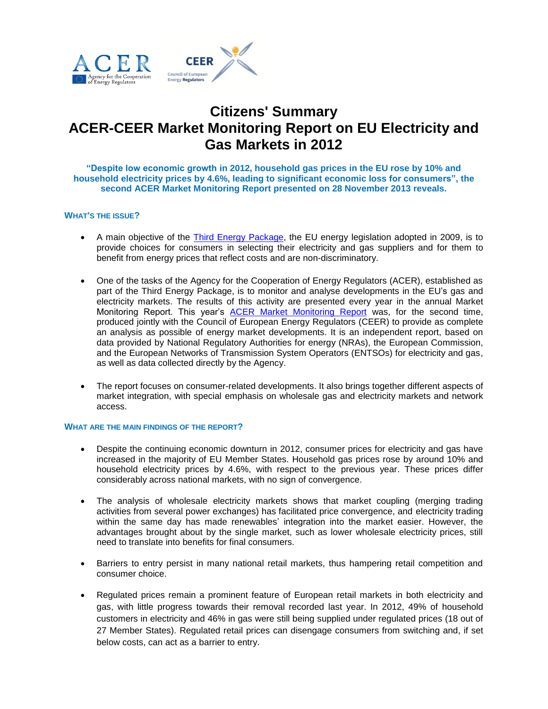

# **Citizens' Summary ACER-CEER Market Monitoring Report on EU Electricity and Gas Markets in 2012**

**"Despite low economic growth in 2012, household gas prices in the EU rose by 10% and household electricity prices by 4.6%, leading to significant economic loss for consumers", the second ACER Market Monitoring Report presented on 28 November 2013 reveals.**

## **WHAT'S THE ISSUE?**

- A main objective of the [Third Energy Package,](http://ec.europa.eu/energy/gas_electricity/legislation/legislation_en.htm) the EU energy legislation adopted in 2009, is to provide choices for consumers in selecting their electricity and gas suppliers and for them to benefit from energy prices that reflect costs and are non-discriminatory.
- One of the tasks of the Agency for the Cooperation of Energy Regulators (ACER), established as part of the Third Energy Package, is to monitor and analyse developments in the EU's gas and electricity markets. The results of this activity are presented every year in the annual Market Monitoring Report. This year's [ACER Market Monitoring Report](http://www.acer.europa.eu/Official_documents/Acts_of_the_Agency/Publication/ACER%20Market%20Monitoring%20Report%202013.pdf) was, for the second time, produced jointly with the Council of European Energy Regulators (CEER) to provide as complete an analysis as possible of energy market developments. It is an independent report, based on data provided by National Regulatory Authorities for energy (NRAs), the European Commission, and the European Networks of Transmission System Operators (ENTSOs) for electricity and gas, as well as data collected directly by the Agency.
- The report focuses on consumer-related developments. It also brings together different aspects of market integration, with special emphasis on wholesale gas and electricity markets and network access.

### **WHAT ARE THE MAIN FINDINGS OF THE REPORT?**

- Despite the continuing economic downturn in 2012, consumer prices for electricity and gas have increased in the majority of EU Member States. Household gas prices rose by around 10% and household electricity prices by 4.6%, with respect to the previous year. These prices differ considerably across national markets, with no sign of convergence.
- The analysis of wholesale electricity markets shows that market coupling (merging trading activities from several power exchanges) has facilitated price convergence, and electricity trading within the same day has made renewables' integration into the market easier. However, the advantages brought about by the single market, such as lower wholesale electricity prices, still need to translate into benefits for final consumers.
- Barriers to entry persist in many national retail markets, thus hampering retail competition and consumer choice.
- Regulated prices remain a prominent feature of European retail markets in both electricity and gas, with little progress towards their removal recorded last year. In 2012, 49% of household customers in electricity and 46% in gas were still being supplied under regulated prices (18 out of 27 Member States). Regulated retail prices can disengage consumers from switching and, if set below costs, can act as a barrier to entry.